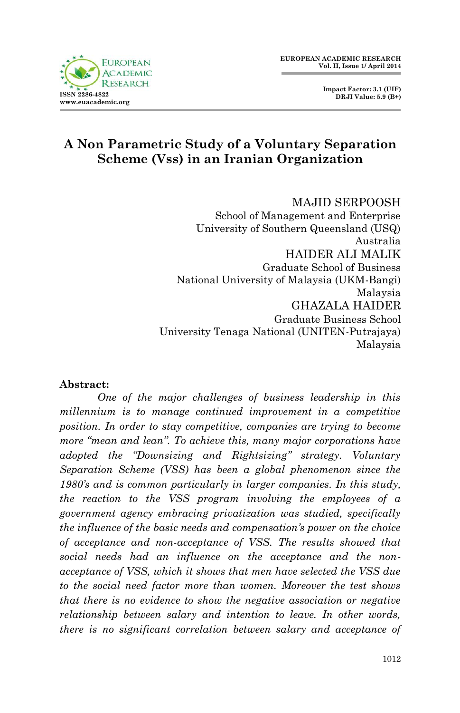



# **A Non Parametric Study of a Voluntary Separation Scheme (Vss) in an Iranian Organization**

MAJID SERPOOSH School of Management and Enterprise University of Southern Queensland (USQ) Australia HAIDER ALI MALIK Graduate School of Business National University of Malaysia (UKM-Bangi) Malaysia GHAZALA HAIDER Graduate Business School University Tenaga National (UNITEN-Putrajaya) Malaysia

#### **Abstract:**

*One of the major challenges of business leadership in this millennium is to manage continued improvement in a competitive position. In order to stay competitive, companies are trying to become more "mean and lean". To achieve this, many major corporations have adopted the "Downsizing and Rightsizing" strategy. Voluntary Separation Scheme (VSS) has been a global phenomenon since the 1980's and is common particularly in larger companies. In this study, the reaction to the VSS program involving the employees of a government agency embracing privatization was studied, specifically the influence of the basic needs and compensation's power on the choice of acceptance and non-acceptance of VSS. The results showed that social needs had an influence on the acceptance and the nonacceptance of VSS, which it shows that men have selected the VSS due to the social need factor more than women. Moreover the test shows that there is no evidence to show the negative association or negative relationship between salary and intention to leave. In other words, there is no significant correlation between salary and acceptance of*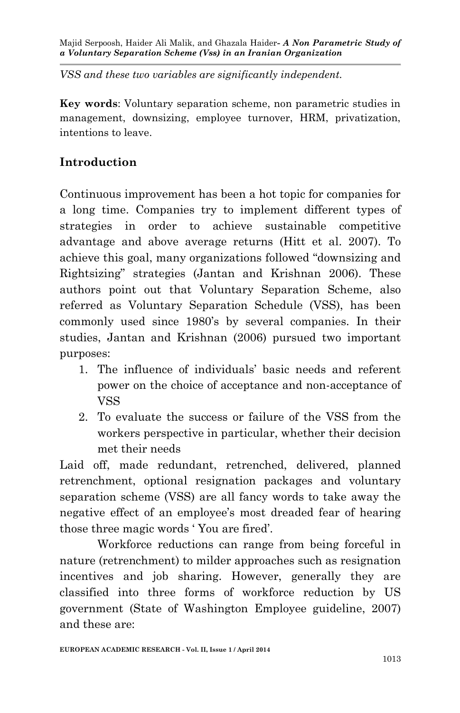*VSS and these two variables are significantly independent.*

**Key words**: Voluntary separation scheme, non parametric studies in management, downsizing, employee turnover, HRM, privatization, intentions to leave.

## **Introduction**

Continuous improvement has been a hot topic for companies for a long time. Companies try to implement different types of strategies in order to achieve sustainable competitive advantage and above average returns (Hitt et al. 2007). To achieve this goal, many organizations followed "downsizing and Rightsizing" strategies (Jantan and Krishnan 2006). These authors point out that Voluntary Separation Scheme, also referred as Voluntary Separation Schedule (VSS), has been commonly used since 1980's by several companies. In their studies, Jantan and Krishnan (2006) pursued two important purposes:

- 1. The influence of individuals' basic needs and referent power on the choice of acceptance and non-acceptance of VSS
- 2. To evaluate the success or failure of the VSS from the workers perspective in particular, whether their decision met their needs

Laid off, made redundant, retrenched, delivered, planned retrenchment, optional resignation packages and voluntary separation scheme (VSS) are all fancy words to take away the negative effect of an employee's most dreaded fear of hearing those three magic words ' You are fired'.

Workforce reductions can range from being forceful in nature (retrenchment) to milder approaches such as resignation incentives and job sharing. However, generally they are classified into three forms of workforce reduction by US government (State of Washington Employee guideline, 2007) and these are: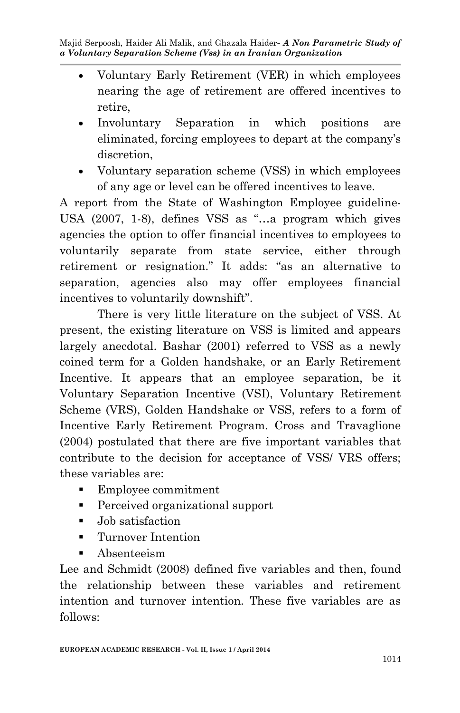- Voluntary Early Retirement (VER) in which employees nearing the age of retirement are offered incentives to retire,
- Involuntary Separation in which positions are eliminated, forcing employees to depart at the company's discretion,
- Voluntary separation scheme (VSS) in which employees of any age or level can be offered incentives to leave.

A report from the State of Washington Employee guideline-USA (2007, 1-8), defines VSS as "…a program which gives agencies the option to offer financial incentives to employees to voluntarily separate from state service, either through retirement or resignation." It adds: "as an alternative to separation, agencies also may offer employees financial incentives to voluntarily downshift".

There is very little literature on the subject of VSS. At present, the existing literature on VSS is limited and appears largely anecdotal. Bashar (2001) referred to VSS as a newly coined term for a Golden handshake, or an Early Retirement Incentive. It appears that an employee separation, be it Voluntary Separation Incentive (VSI), Voluntary Retirement Scheme (VRS), Golden Handshake or VSS, refers to a form of Incentive Early Retirement Program. Cross and Travaglione (2004) postulated that there are five important variables that contribute to the decision for acceptance of VSS/ VRS offers; these variables are:

- Employee commitment
- Perceived organizational support
- Job satisfaction
- **Turnover Intention**
- Absenteeism

Lee and Schmidt (2008) defined five variables and then, found the relationship between these variables and retirement intention and turnover intention. These five variables are as follows: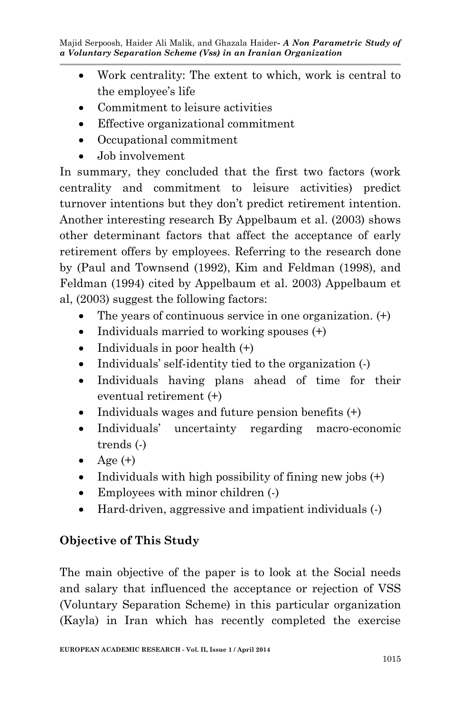- Work centrality: The extent to which, work is central to the employee's life
- Commitment to leisure activities
- Effective organizational commitment
- Occupational commitment
- Job involvement

In summary, they concluded that the first two factors (work centrality and commitment to leisure activities) predict turnover intentions but they don't predict retirement intention. Another interesting research By Appelbaum et al. (2003) shows other determinant factors that affect the acceptance of early retirement offers by employees. Referring to the research done by (Paul and Townsend (1992), Kim and Feldman (1998), and Feldman (1994) cited by Appelbaum et al. 2003) Appelbaum et al, (2003) suggest the following factors:

- The years of continuous service in one organization. (+)
- Individuals married to working spouses  $(+)$
- Individuals in poor health  $(+)$
- Individuals' self-identity tied to the organization (-)
- Individuals having plans ahead of time for their eventual retirement (+)
- Individuals wages and future pension benefits  $(+)$
- Individuals' uncertainty regarding macro-economic trends (-)
- $\bullet$  Age  $(+)$
- Individuals with high possibility of fining new jobs  $(+)$
- Employees with minor children  $\left(\cdot\right)$
- Hard-driven, aggressive and impatient individuals (-)

# **Objective of This Study**

The main objective of the paper is to look at the Social needs and salary that influenced the acceptance or rejection of VSS (Voluntary Separation Scheme) in this particular organization (Kayla) in Iran which has recently completed the exercise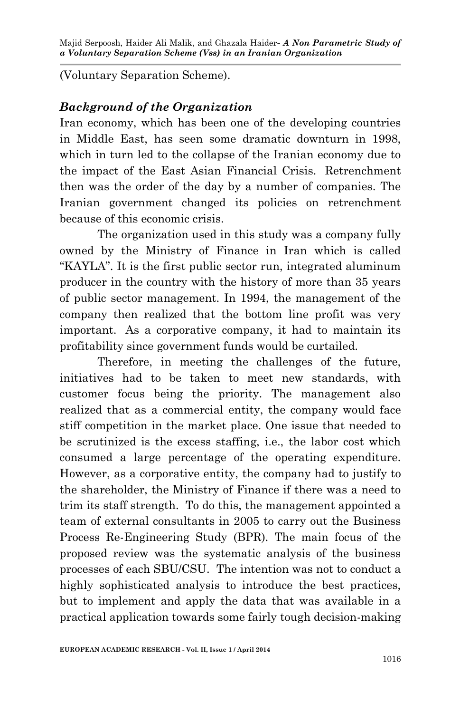(Voluntary Separation Scheme).

## *Background of the Organization*

Iran economy, which has been one of the developing countries in Middle East, has seen some dramatic downturn in 1998, which in turn led to the collapse of the Iranian economy due to the impact of the East Asian Financial Crisis. Retrenchment then was the order of the day by a number of companies. The Iranian government changed its policies on retrenchment because of this economic crisis.

The organization used in this study was a company fully owned by the Ministry of Finance in Iran which is called "KAYLA". It is the first public sector run, integrated aluminum producer in the country with the history of more than 35 years of public sector management. In 1994, the management of the company then realized that the bottom line profit was very important. As a corporative company, it had to maintain its profitability since government funds would be curtailed.

Therefore, in meeting the challenges of the future, initiatives had to be taken to meet new standards, with customer focus being the priority. The management also realized that as a commercial entity, the company would face stiff competition in the market place. One issue that needed to be scrutinized is the excess staffing, i.e., the labor cost which consumed a large percentage of the operating expenditure. However, as a corporative entity, the company had to justify to the shareholder, the Ministry of Finance if there was a need to trim its staff strength. To do this, the management appointed a team of external consultants in 2005 to carry out the Business Process Re-Engineering Study (BPR). The main focus of the proposed review was the systematic analysis of the business processes of each SBU/CSU. The intention was not to conduct a highly sophisticated analysis to introduce the best practices, but to implement and apply the data that was available in a practical application towards some fairly tough decision-making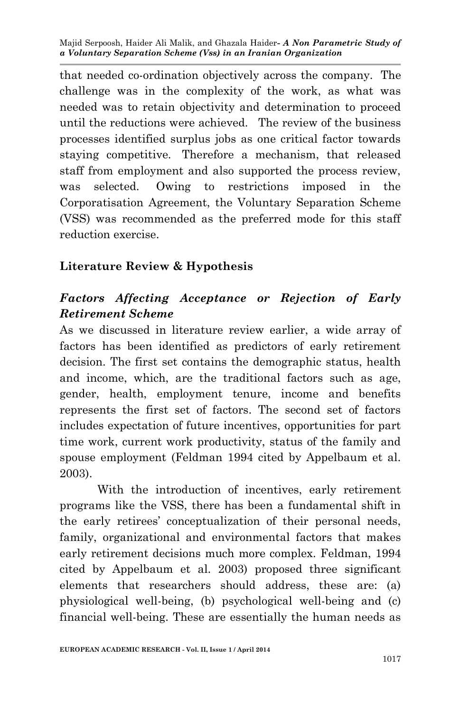that needed co-ordination objectively across the company. The challenge was in the complexity of the work, as what was needed was to retain objectivity and determination to proceed until the reductions were achieved. The review of the business processes identified surplus jobs as one critical factor towards staying competitive. Therefore a mechanism, that released staff from employment and also supported the process review, was selected. Owing to restrictions imposed in the Corporatisation Agreement, the Voluntary Separation Scheme (VSS) was recommended as the preferred mode for this staff reduction exercise.

## **Literature Review & Hypothesis**

## *Factors Affecting Acceptance or Rejection of Early Retirement Scheme*

As we discussed in literature review earlier, a wide array of factors has been identified as predictors of early retirement decision. The first set contains the demographic status, health and income, which, are the traditional factors such as age, gender, health, employment tenure, income and benefits represents the first set of factors. The second set of factors includes expectation of future incentives, opportunities for part time work, current work productivity, status of the family and spouse employment (Feldman 1994 cited by Appelbaum et al. 2003).

With the introduction of incentives, early retirement programs like the VSS, there has been a fundamental shift in the early retirees' conceptualization of their personal needs, family, organizational and environmental factors that makes early retirement decisions much more complex. Feldman, 1994 cited by Appelbaum et al. 2003) proposed three significant elements that researchers should address, these are: (a) physiological well-being, (b) psychological well-being and (c) financial well-being. These are essentially the human needs as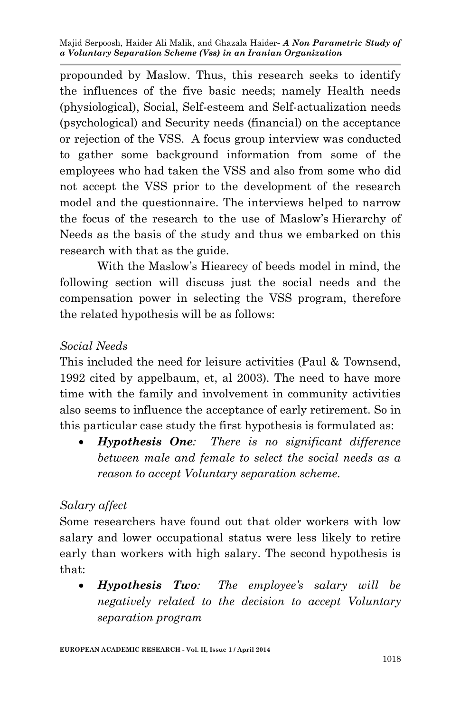propounded by Maslow. Thus, this research seeks to identify the influences of the five basic needs; namely Health needs (physiological), Social, Self-esteem and Self-actualization needs (psychological) and Security needs (financial) on the acceptance or rejection of the VSS. A focus group interview was conducted to gather some background information from some of the employees who had taken the VSS and also from some who did not accept the VSS prior to the development of the research model and the questionnaire. The interviews helped to narrow the focus of the research to the use of Maslow's Hierarchy of Needs as the basis of the study and thus we embarked on this research with that as the guide.

With the Maslow's Hiearecy of beeds model in mind, the following section will discuss just the social needs and the compensation power in selecting the VSS program, therefore the related hypothesis will be as follows:

#### *Social Needs*

This included the need for leisure activities (Paul & Townsend, 1992 cited by appelbaum, et, al 2003). The need to have more time with the family and involvement in community activities also seems to influence the acceptance of early retirement. So in this particular case study the first hypothesis is formulated as:

 *Hypothesis One: There is no significant difference between male and female to select the social needs as a reason to accept Voluntary separation scheme.*

### *Salary affect*

Some researchers have found out that older workers with low salary and lower occupational status were less likely to retire early than workers with high salary. The second hypothesis is that:

 *Hypothesis Two: The employee's salary will be negatively related to the decision to accept Voluntary separation program*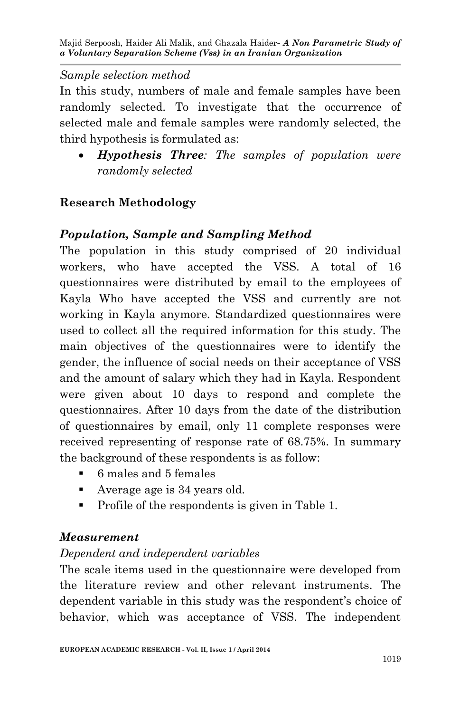### *Sample selection method*

In this study, numbers of male and female samples have been randomly selected. To investigate that the occurrence of selected male and female samples were randomly selected, the third hypothesis is formulated as:

 *Hypothesis Three: The samples of population were randomly selected* 

# **Research Methodology**

## *Population, Sample and Sampling Method*

The population in this study comprised of 20 individual workers, who have accepted the VSS. A total of 16 questionnaires were distributed by email to the employees of Kayla Who have accepted the VSS and currently are not working in Kayla anymore. Standardized questionnaires were used to collect all the required information for this study. The main objectives of the questionnaires were to identify the gender, the influence of social needs on their acceptance of VSS and the amount of salary which they had in Kayla. Respondent were given about 10 days to respond and complete the questionnaires. After 10 days from the date of the distribution of questionnaires by email, only 11 complete responses were received representing of response rate of 68.75%. In summary the background of these respondents is as follow:

- 6 males and 5 females
- Average age is 34 years old.
- Profile of the respondents is given in Table 1.

## *Measurement*

## *Dependent and independent variables*

The scale items used in the questionnaire were developed from the literature review and other relevant instruments. The dependent variable in this study was the respondent's choice of behavior, which was acceptance of VSS. The independent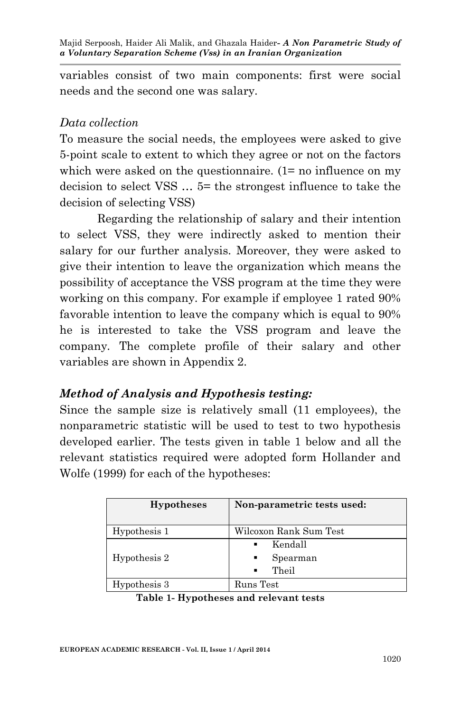variables consist of two main components: first were social needs and the second one was salary.

## *Data collection*

To measure the social needs, the employees were asked to give 5-point scale to extent to which they agree or not on the factors which were asked on the questionnaire. (1= no influence on my decision to select VSS … 5= the strongest influence to take the decision of selecting VSS)

Regarding the relationship of salary and their intention to select VSS, they were indirectly asked to mention their salary for our further analysis. Moreover, they were asked to give their intention to leave the organization which means the possibility of acceptance the VSS program at the time they were working on this company. For example if employee 1 rated 90% favorable intention to leave the company which is equal to 90% he is interested to take the VSS program and leave the company. The complete profile of their salary and other variables are shown in Appendix 2.

# *Method of Analysis and Hypothesis testing:*

Since the sample size is relatively small (11 employees), the nonparametric statistic will be used to test to two hypothesis developed earlier. The tests given in table 1 below and all the relevant statistics required were adopted form Hollander and Wolfe (1999) for each of the hypotheses:

| <b>Hypotheses</b> | Non-parametric tests used:                                            |
|-------------------|-----------------------------------------------------------------------|
| Hypothesis 1      | Wilcoxon Rank Sum Test                                                |
| Hypothesis 2      | Kendall<br>$\blacksquare$<br>Spearman<br>٠<br>Theil<br>$\blacksquare$ |
| Hypothesis 3      | Runs Test                                                             |

|  | Table 1- Hypotheses and relevant tests |  |  |  |
|--|----------------------------------------|--|--|--|
|--|----------------------------------------|--|--|--|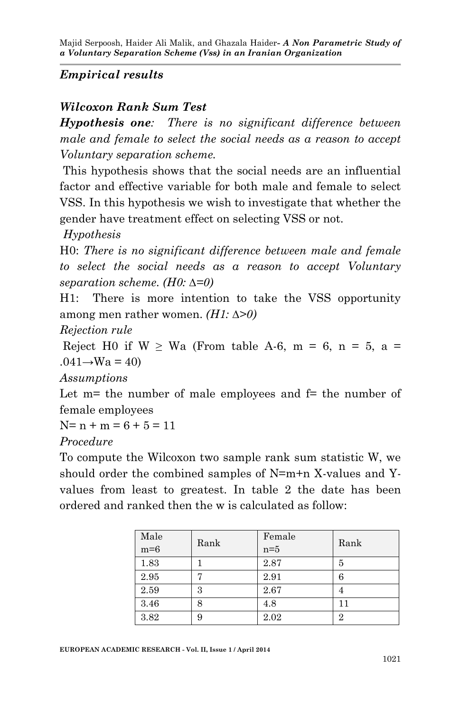## *Empirical results*

### *Wilcoxon Rank Sum Test*

*Hypothesis one: There is no significant difference between male and female to select the social needs as a reason to accept Voluntary separation scheme.*

This hypothesis shows that the social needs are an influential factor and effective variable for both male and female to select VSS. In this hypothesis we wish to investigate that whether the gender have treatment effect on selecting VSS or not.

*Hypothesis*

H0: *There is no significant difference between male and female to select the social needs as a reason to accept Voluntary separation scheme. (H0: ∆=0)*

H1: There is more intention to take the VSS opportunity among men rather women. *(H1: ∆>0)*

*Rejection rule*

Reject H0 if  $W \geq Wa$  (From table A-6, m = 6, n = 5, a =  $.041 \rightarrow Wa = 40$ 

*Assumptions*

Let  $m$ = the number of male employees and  $f$ = the number of female employees

 $N = n + m = 6 + 5 = 11$ 

*Procedure*

To compute the Wilcoxon two sample rank sum statistic W, we should order the combined samples of N=m+n X-values and Yvalues from least to greatest. In table 2 the date has been ordered and ranked then the w is calculated as follow:

| Male<br>$m=6$ | Rank | Female<br>$n=5$ | Rank |
|---------------|------|-----------------|------|
| 1.83          |      | 2.87            | 5    |
| 2.95          | -    | 2.91            | 6    |
| 2.59          | 3    | 2.67            | 4    |
| 3.46          | 8    | 4.8             | 11   |
| 3.82          | 9    | 2.02            | 2    |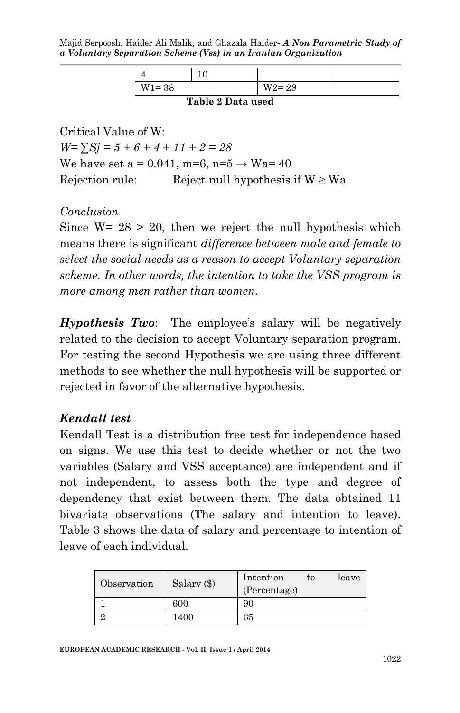Majid Serpoosh, Haider Ali Malik, and Ghazala Haider*- A Non Parametric Study of a Voluntary Separation Scheme (Vss) in an Iranian Organization* 

| $W1 = 38$ |         | $W2 = 28$ |  |
|-----------|---------|-----------|--|
|           | ------- |           |  |

**Table 2 Data used**

Critical Value of W:  $W=\sum Si=5+6+4+11+2=28$ We have set a = 0.041, m=6, n=5  $\rightarrow$  Wa= 40 Rejection rule: Reject null hypothesis if  $W \geq Wa$ 

*Conclusion*

Since  $W = 28 > 20$ , then we reject the null hypothesis which means there is significant *difference between male and female to select the social needs as a reason to accept Voluntary separation scheme. In other words, the intention to take the VSS program is more among men rather than women.*

*Hypothesis Two*: The employee's salary will be negatively related to the decision to accept Voluntary separation program. For testing the second Hypothesis we are using three different methods to see whether the null hypothesis will be supported or rejected in favor of the alternative hypothesis.

#### *Kendall test*

Kendall Test is a distribution free test for independence based on signs. We use this test to decide whether or not the two variables (Salary and VSS acceptance) are independent and if not independent, to assess both the type and degree of dependency that exist between them. The data obtained 11 bivariate observations (The salary and intention to leave). Table 3 shows the data of salary and percentage to intention of leave of each individual.

| Observation | Salary (\$) | Intention    | tο | leave |  |  |
|-------------|-------------|--------------|----|-------|--|--|
|             |             | (Percentage) |    |       |  |  |
|             | 600         | 90           |    |       |  |  |
|             | 1400        | 65           |    |       |  |  |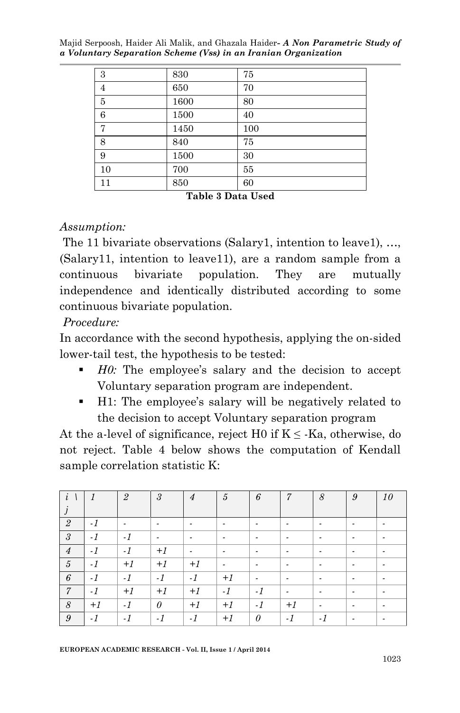| 3              | 830  | 75  |
|----------------|------|-----|
| $\overline{4}$ | 650  | 70  |
| 5              | 1600 | 80  |
| 6              | 1500 | 40  |
| 7              | 1450 | 100 |
| 8              | 840  | 75  |
| 9              | 1500 | 30  |
| 10             | 700  | 55  |
| 11             | 850  | 60  |

**Table 3 Data Used**

#### *Assumption:*

The 11 bivariate observations (Salary1, intention to leave1), …, (Salary11, intention to leave11), are a random sample from a continuous bivariate population. They are mutually independence and identically distributed according to some continuous bivariate population.

*Procedure:* 

In accordance with the second hypothesis, applying the on-sided lower-tail test, the hypothesis to be tested:

- *H0*: The employee's salary and the decision to accept Voluntary separation program are independent.
- H1: The employee's salary will be negatively related to the decision to accept Voluntary separation program

At the a-level of significance, reject H0 if  $K \leq$  -Ka, otherwise, do not reject. Table 4 below shows the computation of Kendall sample correlation statistic K:

| $\overline{\iota}$ |      | $\overline{2}$           | 3    | $\overline{4}$           | 5                        | 6                        | 7                        | 8    | 9 | 10 |
|--------------------|------|--------------------------|------|--------------------------|--------------------------|--------------------------|--------------------------|------|---|----|
| $\boldsymbol{J}$   |      |                          |      |                          |                          |                          |                          |      |   |    |
| $\overline{2}$     | $-1$ | $\overline{\phantom{a}}$ |      | $\overline{\phantom{a}}$ | $\overline{\phantom{a}}$ | $\overline{\phantom{a}}$ | $\overline{\phantom{0}}$ |      |   |    |
| $\mathfrak{3}$     | $-1$ | $-1$                     | -    | ٠                        | ٠                        | $\overline{\phantom{a}}$ | $\overline{\phantom{0}}$ | -    |   |    |
| $\overline{4}$     | $-1$ | $-1$                     | $+1$ | $\overline{\phantom{a}}$ | $\overline{\phantom{a}}$ | $\overline{\phantom{a}}$ | $\overline{\phantom{0}}$ |      |   |    |
| 5                  | $-1$ | $+1$                     | $+1$ | $+1$                     | $\overline{\phantom{a}}$ | $\overline{\phantom{a}}$ | $\overline{\phantom{0}}$ |      |   |    |
| 6                  | $-1$ | $-1$                     | $-1$ | $-1$                     | $+1$                     | $\overline{\phantom{a}}$ | $\overline{\phantom{0}}$ | -    | - |    |
| $\overline{7}$     | $-1$ | $+1$                     | $+1$ | $+1$                     | $-1$                     | $-1$                     | $\overline{\phantom{0}}$ | -    |   |    |
| 8                  | $+1$ | $-1$                     | 0    | $+1$                     | $+1$                     | $-1$                     | $+1$                     |      |   |    |
| 9                  | $-1$ | $-1$                     | $-1$ | $-1$                     | $+1$                     | $\theta$                 | $-1$                     | $-1$ |   |    |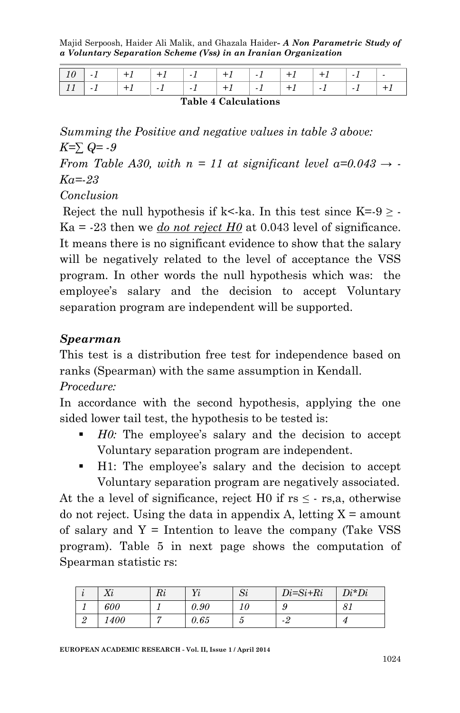|                                                  |  |  |  |  |  |  |  |  | $+1$ |
|--------------------------------------------------|--|--|--|--|--|--|--|--|------|
| $\sim$ $\sim$ $\sim$ $\sim$ $\sim$ $\sim$ $\sim$ |  |  |  |  |  |  |  |  |      |

#### **Table 4 Calculations**

*Summing the Positive and negative values in table 3 above: K=∑ Q= -9*

*From Table A30, with*  $n = 11$  at significant level  $a=0.043 \rightarrow$ *Ka=-23*

*Conclusion*

Reject the null hypothesis if k<-ka. In this test since  $K=9 \geq -1$  $Ka = -23$  then we *do not reject H0* at 0.043 level of significance. It means there is no significant evidence to show that the salary will be negatively related to the level of acceptance the VSS program. In other words the null hypothesis which was: the employee's salary and the decision to accept Voluntary separation program are independent will be supported.

#### *Spearman*

This test is a distribution free test for independence based on ranks (Spearman) with the same assumption in Kendall. *Procedure:*

In accordance with the second hypothesis, applying the one sided lower tail test, the hypothesis to be tested is:

- *H0:* The employee's salary and the decision to accept Voluntary separation program are independent.
- H1: The employee's salary and the decision to accept Voluntary separation program are negatively associated.

At the a level of significance, reject H0 if  $rs \leq -rs$ , otherwise do not reject. Using the data in appendix A, letting  $X =$  amount of salary and  $Y =$  Intention to leave the company (Take VSS) program). Table 5 in next page shows the computation of Spearman statistic rs:

|          | <b>TT'</b><br>$\Delta v$ | D.<br>$\mathfrak{m}$ | T    | $\sim$<br>IJί | $Di=Si+Ri$ | $Di^*Di$ |
|----------|--------------------------|----------------------|------|---------------|------------|----------|
|          | 600                      |                      | 0.90 |               | c<br>υ     |          |
| $\Omega$ | 400                      |                      | 0.65 | υ             | -4         |          |

**EUROPEAN ACADEMIC RESEARCH - Vol. II, Issue 1 / April 2014**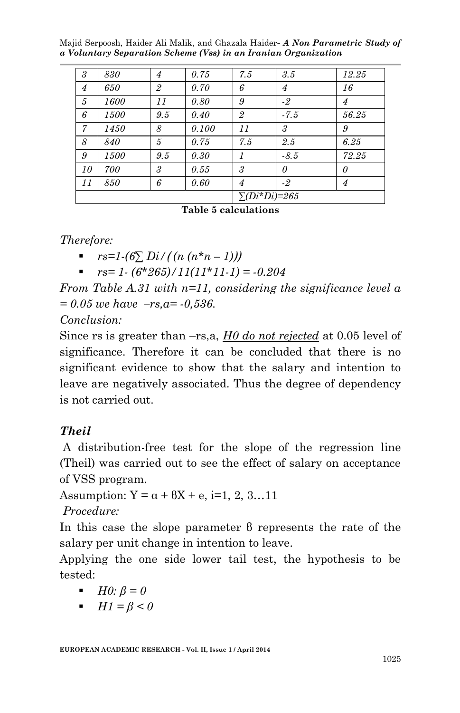| 3                    | 830  | $\overline{4}$ | 0.75  | 7.5            | 3.5            | 12.25 |
|----------------------|------|----------------|-------|----------------|----------------|-------|
| $\overline{4}$       | 650  | $\overline{2}$ | 0.70  | 6              | $\overline{4}$ | 16    |
| 5                    | 1600 | 11             | 0.80  | 9              | $-2$           | 4     |
| 6                    | 1500 | 9.5            | 0.40  | $\overline{2}$ | $-7.5$         | 56.25 |
| $\overline{7}$       | 1450 | 8              | 0.100 | 11             | 3              | 9     |
| 8                    | 840  | 5              | 0.75  | 7.5            | 2.5            | 6.25  |
| 9                    | 1500 | 9.5            | 0.30  |                | $-8.5$         | 72.25 |
| 10                   | 700  | 3              | 0.55  | 3              | $\theta$       | 0     |
| 11                   | 850  | 6              | 0.60  | 4              | $-2$           | 4     |
| $\Sigma(Di^*Di)=265$ |      |                |       |                |                |       |

#### **Table 5 calculations**

#### *Therefore:*

 $rs=1-(6\sum \frac{Di}{n}(n(n*n-1)))$ 

■ 
$$
rs=1-(6*265)/11(11*11-1) = -0.204
$$

*From Table A.31 with n=11, considering the significance level a = 0.05 we have –rs,a= -0,536.*

#### *Conclusion:*

Since rs is greater than –rs,a, *H0 do not rejected* at 0.05 level of significance. Therefore it can be concluded that there is no significant evidence to show that the salary and intention to leave are negatively associated. Thus the degree of dependency is not carried out.

## *Theil*

A distribution-free test for the slope of the regression line (Theil) was carried out to see the effect of salary on acceptance of VSS program.

Assumption:  $Y = \alpha + \beta X + e$ , i=1, 2, 3...11

*Procedure:*

In this case the slope parameter β represents the rate of the salary per unit change in intention to leave.

Applying the one side lower tail test, the hypothesis to be tested:

- $H0: \beta = 0$
- $H1 = \beta < 0$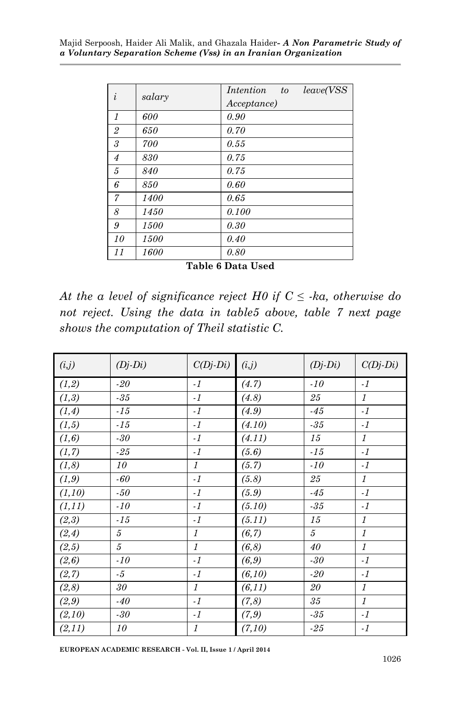| $\mathbf{L}$   | salary | <i>leave</i> ( <i>VSS</i><br>Intention<br>$\boldsymbol{t}$<br>Acceptance) |
|----------------|--------|---------------------------------------------------------------------------|
| $\mathcal{I}$  | 600    | 0.90                                                                      |
| $\overline{2}$ | 650    | 0.70                                                                      |
| 3              | 700    | 0.55                                                                      |
| $\overline{4}$ | 830    | 0.75                                                                      |
| 5              | 840    | 0.75                                                                      |
| 6              | 850    | 0.60                                                                      |
| 7              | 1400   | 0.65                                                                      |
| 8              | 1450   | 0.100                                                                     |
| 9              | 1500   | 0.30                                                                      |
| 10             | 1500   | 0.40                                                                      |
| 11             | 1600   | 0.80                                                                      |

**Table 6 Data Used**

*At the a level of significance reject H0 if*  $C \leq \alpha$ , *otherwise do not reject. Using the data in table5 above, table 7 next page shows the computation of Theil statistic C.*

| (i,j)   | $(Dj-Di)$     | $C(Dj-Di)$                | (i,j)   | $(Dj-Di)$      | $C(Dj-Di)$     |
|---------|---------------|---------------------------|---------|----------------|----------------|
| (1,2)   | $-20$         | $-1$                      | (4.7)   | $-10$          | $-1$           |
| (1,3)   | $-35\,$       | $-1$                      | (4.8)   | $\sqrt{25}$    | $\mathfrak{1}$ |
| (1,4)   | $-15$         | $-1$                      | (4.9)   | $-45$          | $-1$           |
| (1,5)   | $-15$         | $-1$                      | (4.10)  | $\textbf{-35}$ | $-1$           |
| (1, 6)  | $-30$         | $-1$                      | (4.11)  | 15             | $\mathfrak{1}$ |
| (1, 7)  | $-25$         | $-1$                      | (5.6)   | $-15$          | $-1$           |
| (1, 8)  | 10            | $\mathcal{I}$             | (5.7)   | $-10$          | $\cdot1$       |
| (1, 9)  | $\mbox{-} 60$ | $-1$                      | (5.8)   | $\sqrt{25}$    | $\mathfrak{1}$ |
| (1,10)  | $-50$         | $-1$                      | (5.9)   | $-45$          | $-1$           |
| (1, 11) | $-10$         | $-1$                      | (5.10)  | $-35$          | $-1$           |
| (2,3)   | $-15$         | $-1$                      | (5.11)  | 15             | $\mathfrak{1}$ |
| (2, 4)  | 5             | $\mathcal{I}$             | (6, 7)  | 5              | $\cal I$       |
| (2,5)   | $\sqrt{5}$    | $\boldsymbol{\mathit{1}}$ | (6, 8)  | 40             | $\cal{I}$      |
| (2, 6)  | $-10$         | $-1$                      | (6, 9)  | $-30$          | $-1$           |
| (2, 7)  | $-5$          | $-1$                      | (6,10)  | $-20$          | $-1$           |
| (2, 8)  | 30            | $\mathcal{I}$             | (6, 11) | 20             | $\mathfrak{1}$ |
| (2, 9)  | $-40$         | $-1$                      | (7, 8)  | 35             | $\mathcal{I}$  |
| (2,10)  | $-30$         | $-1$                      | (7, 9)  | $-35$          | $-1$           |
| (2,11)  | 10            | $\mathfrak{1}$            | (7,10)  | $-25$          | $-1$           |

**EUROPEAN ACADEMIC RESEARCH - Vol. II, Issue 1 / April 2014**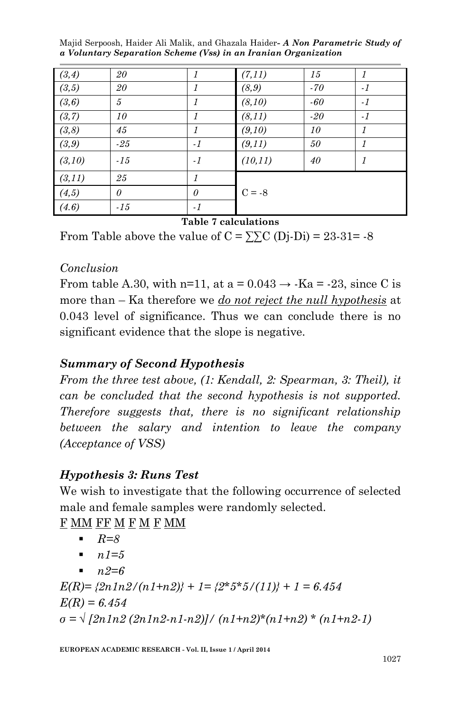| (3,4)  | 20       | 1        | (7,11)   | 15    | $\mathfrak{1}$ |
|--------|----------|----------|----------|-------|----------------|
| (3,5)  | 20       | 1        | (8, 9)   | $-70$ | $-1$           |
| (3,6)  | 5        | 1        | (8,10)   | $-60$ | $-1$           |
| (3,7)  | 10       | 1        | (8, 11)  | $-20$ | $-1$           |
| (3, 8) | 45       | 1        | (9,10)   | 10    | $\mathcal{I}$  |
| (3, 9) | $-25$    | $-1$     | (9,11)   | 50    | $\mathcal I$   |
| (3,10) | $-15$    | $-1$     | (10, 11) | 40    | 1              |
| (3,11) | 25       | 1        |          |       |                |
| (4,5)  | $\theta$ | $\theta$ | $C = -8$ |       |                |
| (4.6)  | $-15$    | $-1$     |          |       |                |

**Table 7 calculations**

From Table above the value of  $C = \sum C(Dj-Di) = 23-31= -8$ 

### *Conclusion*

From table A.30, with n=11, at a =  $0.043 \rightarrow$  -Ka = -23, since C is more than – Ka therefore we *do not reject the null hypothesis* at 0.043 level of significance. Thus we can conclude there is no significant evidence that the slope is negative.

## *Summary of Second Hypothesis*

*From the three test above, (1: Kendall, 2: Spearman, 3: Theil), it can be concluded that the second hypothesis is not supported. Therefore suggests that, there is no significant relationship between the salary and intention to leave the company (Acceptance of VSS)* 

## *Hypothesis 3: Runs Test*

We wish to investigate that the following occurrence of selected male and female samples were randomly selected.

F MM F M F MM

- *R=8*
- $n1=5$
- $n \cdot 2 = 6$

 $E(R) = \frac{2n1n2}{(n1+n2)} + 1 = \frac{2*5*5}{(11)} + 1 = 6.454$ *E(R) = 6.454 σ = √ [2n1n2 (2n1n2-n1-n2)]/ (n1+n2)\*(n1+n2) \* (n1+n2-1)*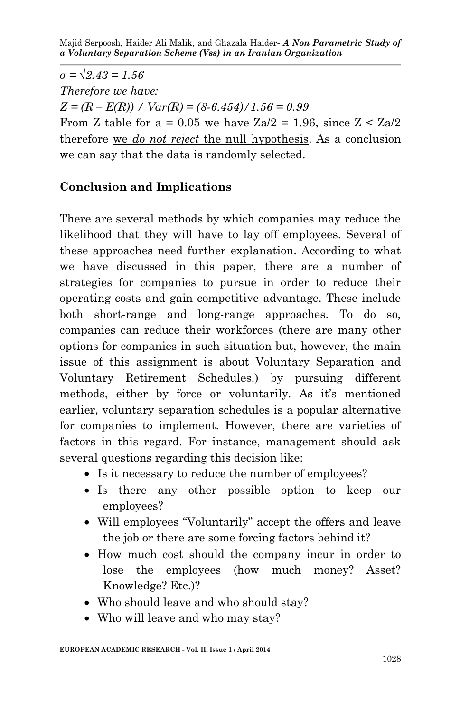$\sigma = \sqrt{2.43} = 1.56$ *Therefore we have:*  $Z = (R - E(R)) / Var(R) = (8.6.454) / 1.56 = 0.99$ From Z table for a = 0.05 we have  $Za/2 = 1.96$ , since  $Z < Za/2$ therefore we *do not reject* the null hypothesis. As a conclusion we can say that the data is randomly selected.

# **Conclusion and Implications**

There are several methods by which companies may reduce the likelihood that they will have to lay off employees. Several of these approaches need further explanation. According to what we have discussed in this paper, there are a number of strategies for companies to pursue in order to reduce their operating costs and gain competitive advantage. These include both short-range and long-range approaches. To do so, companies can reduce their workforces (there are many other options for companies in such situation but, however, the main issue of this assignment is about Voluntary Separation and Voluntary Retirement Schedules.) by pursuing different methods, either by force or voluntarily. As it's mentioned earlier, voluntary separation schedules is a popular alternative for companies to implement. However, there are varieties of factors in this regard. For instance, management should ask several questions regarding this decision like:

- Is it necessary to reduce the number of employees?
- Is there any other possible option to keep our employees?
- Will employees "Voluntarily" accept the offers and leave the job or there are some forcing factors behind it?
- How much cost should the company incur in order to lose the employees (how much money? Asset? Knowledge? Etc.)?
- Who should leave and who should stay?
- Who will leave and who may stay?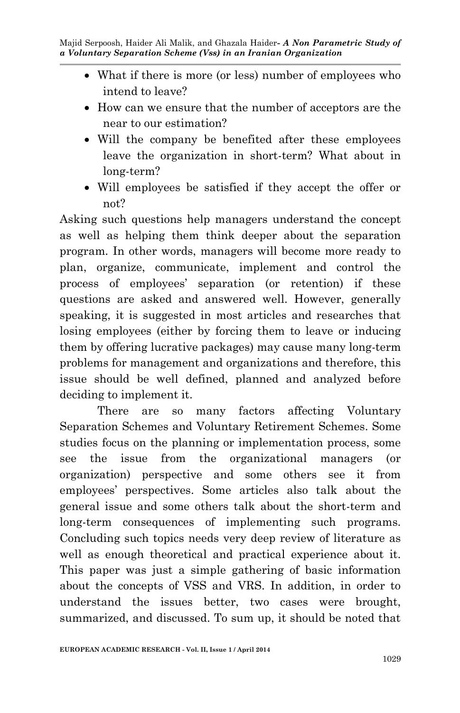- What if there is more (or less) number of employees who intend to leave?
- How can we ensure that the number of acceptors are the near to our estimation?
- Will the company be benefited after these employees leave the organization in short-term? What about in long-term?
- Will employees be satisfied if they accept the offer or not?

Asking such questions help managers understand the concept as well as helping them think deeper about the separation program. In other words, managers will become more ready to plan, organize, communicate, implement and control the process of employees' separation (or retention) if these questions are asked and answered well. However, generally speaking, it is suggested in most articles and researches that losing employees (either by forcing them to leave or inducing them by offering lucrative packages) may cause many long-term problems for management and organizations and therefore, this issue should be well defined, planned and analyzed before deciding to implement it.

There are so many factors affecting Voluntary Separation Schemes and Voluntary Retirement Schemes. Some studies focus on the planning or implementation process, some see the issue from the organizational managers (or organization) perspective and some others see it from employees' perspectives. Some articles also talk about the general issue and some others talk about the short-term and long-term consequences of implementing such programs. Concluding such topics needs very deep review of literature as well as enough theoretical and practical experience about it. This paper was just a simple gathering of basic information about the concepts of VSS and VRS. In addition, in order to understand the issues better, two cases were brought, summarized, and discussed. To sum up, it should be noted that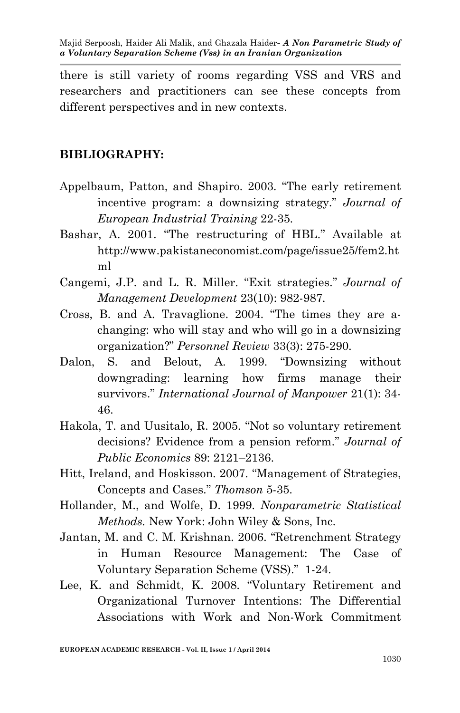there is still variety of rooms regarding VSS and VRS and researchers and practitioners can see these concepts from different perspectives and in new contexts.

### **BIBLIOGRAPHY:**

- Appelbaum, Patton, and Shapiro. 2003. "The early retirement incentive program: a downsizing strategy." *Journal of European Industrial Training* 22-35.
- Bashar, A. 2001. "The restructuring of HBL." Available at http://www.pakistaneconomist.com/page/issue25/fem2.ht ml
- Cangemi, J.P. and L. R. Miller. "Exit strategies." *Journal of Management Development* 23(10): 982-987.
- Cross, B. and A. Travaglione. 2004. "The times they are achanging: who will stay and who will go in a downsizing organization?" *Personnel Review* 33(3): 275-290.
- Dalon, S. and Belout, A. 1999. "Downsizing without downgrading: learning how firms manage their survivors." *International Journal of Manpower* 21(1): 34- 46.
- Hakola, T. and Uusitalo, R. 2005. "Not so voluntary retirement decisions? Evidence from a pension reform." *Journal of Public Economics* 89: 2121–2136.
- Hitt, Ireland, and Hoskisson. 2007. "Management of Strategies, Concepts and Cases." *Thomson* 5-35.
- Hollander, M., and Wolfe, D. 1999. *Nonparametric Statistical Methods.* New York: John Wiley & Sons, Inc.
- Jantan, M. and C. M. Krishnan. 2006. "Retrenchment Strategy in Human Resource Management: The Case of Voluntary Separation Scheme (VSS)." 1-24.
- Lee, K. and Schmidt, K. 2008. "Voluntary Retirement and Organizational Turnover Intentions: The Differential Associations with Work and Non-Work Commitment